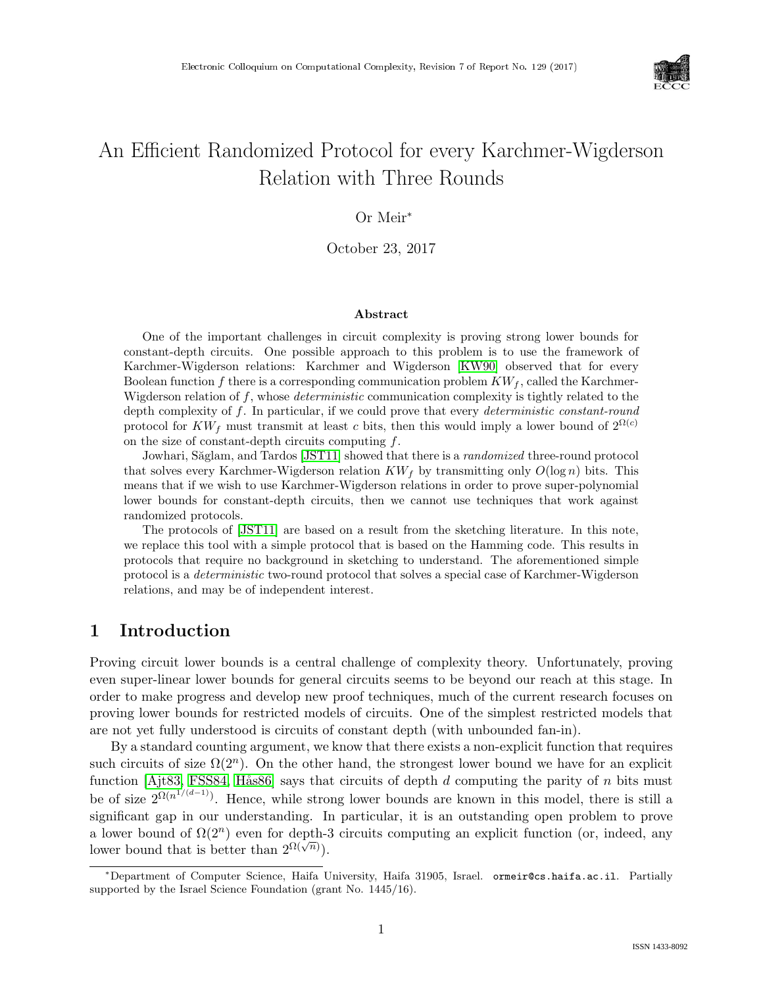

# An Efficient Randomized Protocol for every Karchmer-Wigderson Relation with Three Rounds

## Or Meir<sup>∗</sup>

October 23, 2017

#### Abstract

One of the important challenges in circuit complexity is proving strong lower bounds for constant-depth circuits. One possible approach to this problem is to use the framework of Karchmer-Wigderson relations: Karchmer and Wigderson [\[KW90\]](#page--1-0) observed that for every Boolean function f there is a corresponding communication problem  $KW_f$ , called the Karchmer-Wigderson relation of  $f$ , whose *deterministic* communication complexity is tightly related to the depth complexity of f. In particular, if we could prove that every *deterministic constant-round* protocol for  $KW_f$  must transmit at least c bits, then this would imply a lower bound of  $2^{\Omega(c)}$ on the size of constant-depth circuits computing  $f$ .

Jowhari, Săglam, and Tardos [\[JST11\]](#page--1-1) showed that there is a *randomized* three-round protocol that solves every Karchmer-Wigderson relation  $KW_f$  by transmitting only  $O(\log n)$  bits. This means that if we wish to use Karchmer-Wigderson relations in order to prove super-polynomial lower bounds for constant-depth circuits, then we cannot use techniques that work against randomized protocols.

The protocols of [\[JST11\]](#page--1-1) are based on a result from the sketching literature. In this note, we replace this tool with a simple protocol that is based on the Hamming code. This results in protocols that require no background in sketching to understand. The aforementioned simple protocol is a deterministic two-round protocol that solves a special case of Karchmer-Wigderson relations, and may be of independent interest.

## 1 Introduction

Proving circuit lower bounds is a central challenge of complexity theory. Unfortunately, proving even super-linear lower bounds for general circuits seems to be beyond our reach at this stage. In order to make progress and develop new proof techniques, much of the current research focuses on proving lower bounds for restricted models of circuits. One of the simplest restricted models that are not yet fully understood is circuits of constant depth (with unbounded fan-in).

By a standard counting argument, we know that there exists a non-explicit function that requires such circuits of size  $\Omega(2^n)$ . On the other hand, the strongest lower bound we have for an explicit function [\[Ajt83,](#page--1-2) [FSS84,](#page--1-3) Hås86] says that circuits of depth  $d$  computing the parity of  $n$  bits must be of size  $2^{\Omega(n^{1/(d-1)})}$ . Hence, while strong lower bounds are known in this model, there is still a significant gap in our understanding. In particular, it is an outstanding open problem to prove a lower bound of  $\Omega(2^n)$  even for depth-3 circuits computing an explicit function (or, indeed, any lower bound that is better than  $2^{\Omega(\sqrt{n})}$ .

<sup>∗</sup>Department of Computer Science, Haifa University, Haifa 31905, Israel. ormeir@cs.haifa.ac.il. Partially supported by the Israel Science Foundation (grant No. 1445/16).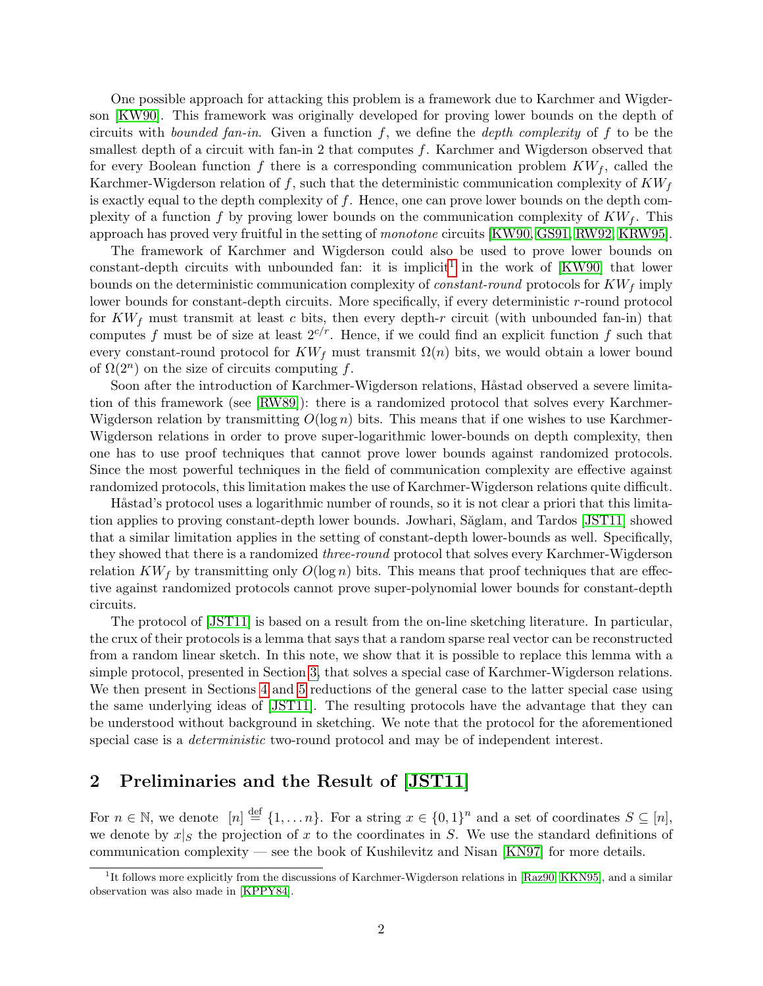One possible approach for attacking this problem is a framework due to Karchmer and Wigderson [\[KW90\]](#page--1-0). This framework was originally developed for proving lower bounds on the depth of circuits with *bounded fan-in*. Given a function f, we define the *depth complexity* of f to be the smallest depth of a circuit with fan-in 2 that computes  $f$ . Karchmer and Wigderson observed that for every Boolean function f there is a corresponding communication problem  $KW_f$ , called the Karchmer-Wigderson relation of f, such that the deterministic communication complexity of  $KW<sub>f</sub>$ is exactly equal to the depth complexity of  $f$ . Hence, one can prove lower bounds on the depth complexity of a function f by proving lower bounds on the communication complexity of  $KW_f$ . This approach has proved very fruitful in the setting of monotone circuits [\[KW90,](#page--1-0) [GS91,](#page-6-0) [RW92,](#page--1-5) [KRW95\]](#page--1-6).

The framework of Karchmer and Wigderson could also be used to prove lower bounds on constant-depth circuits with unbounded fan: it is implicit<sup>[1](#page-1-0)</sup> in the work of  $[KW90]$  that lower bounds on the deterministic communication complexity of *constant-round* protocols for  $KW_f$  imply lower bounds for constant-depth circuits. More specifically, if every deterministic r-round protocol for  $KW_f$  must transmit at least c bits, then every depth-r circuit (with unbounded fan-in) that computes f must be of size at least  $2^{c/r}$ . Hence, if we could find an explicit function f such that every constant-round protocol for  $KW_f$  must transmit  $\Omega(n)$  bits, we would obtain a lower bound of  $\Omega(2^n)$  on the size of circuits computing f.

Soon after the introduction of Karchmer-Wigderson relations, Håstad observed a severe limitation of this framework (see [\[RW89\]](#page--1-7)): there is a randomized protocol that solves every Karchmer-Wigderson relation by transmitting  $O(\log n)$  bits. This means that if one wishes to use Karchmer-Wigderson relations in order to prove super-logarithmic lower-bounds on depth complexity, then one has to use proof techniques that cannot prove lower bounds against randomized protocols. Since the most powerful techniques in the field of communication complexity are effective against randomized protocols, this limitation makes the use of Karchmer-Wigderson relations quite difficult.

Håstad's protocol uses a logarithmic number of rounds, so it is not clear a priori that this limita-tion applies to proving constant-depth lower bounds. Jowhari, Săglam, and Tardos [\[JST11\]](#page-6-1) showed that a similar limitation applies in the setting of constant-depth lower-bounds as well. Specifically, they showed that there is a randomized three-round protocol that solves every Karchmer-Wigderson relation  $KW_f$  by transmitting only  $O(\log n)$  bits. This means that proof techniques that are effective against randomized protocols cannot prove super-polynomial lower bounds for constant-depth circuits.

The protocol of [\[JST11\]](#page-6-1) is based on a result from the on-line sketching literature. In particular, the crux of their protocols is a lemma that says that a random sparse real vector can be reconstructed from a random linear sketch. In this note, we show that it is possible to replace this lemma with a simple protocol, presented in Section [3,](#page-3-0) that solves a special case of Karchmer-Wigderson relations. We then present in Sections [4](#page-4-0) and [5](#page-5-0) reductions of the general case to the latter special case using the same underlying ideas of [\[JST11\]](#page-6-1). The resulting protocols have the advantage that they can be understood without background in sketching. We note that the protocol for the aforementioned special case is a *deterministic* two-round protocol and may be of independent interest.

## 2 Preliminaries and the Result of [\[JST11\]](#page-6-1)

For  $n \in \mathbb{N}$ , we denote  $[n] \stackrel{\text{def}}{=} \{1, \ldots n\}$ . For a string  $x \in \{0,1\}^n$  and a set of coordinates  $S \subseteq [n]$ , we denote by  $x|_S$  the projection of x to the coordinates in S. We use the standard definitions of communication complexity — see the book of Kushilevitz and Nisan [\[KN97\]](#page-6-2) for more details.

<span id="page-1-0"></span><sup>&</sup>lt;sup>1</sup>It follows more explicitly from the discussions of Karchmer-Wigderson relations in [\[Raz90,](#page--1-8) [KKN95\]](#page-6-3), and a similar observation was also made in [\[KPPY84\]](#page--1-9).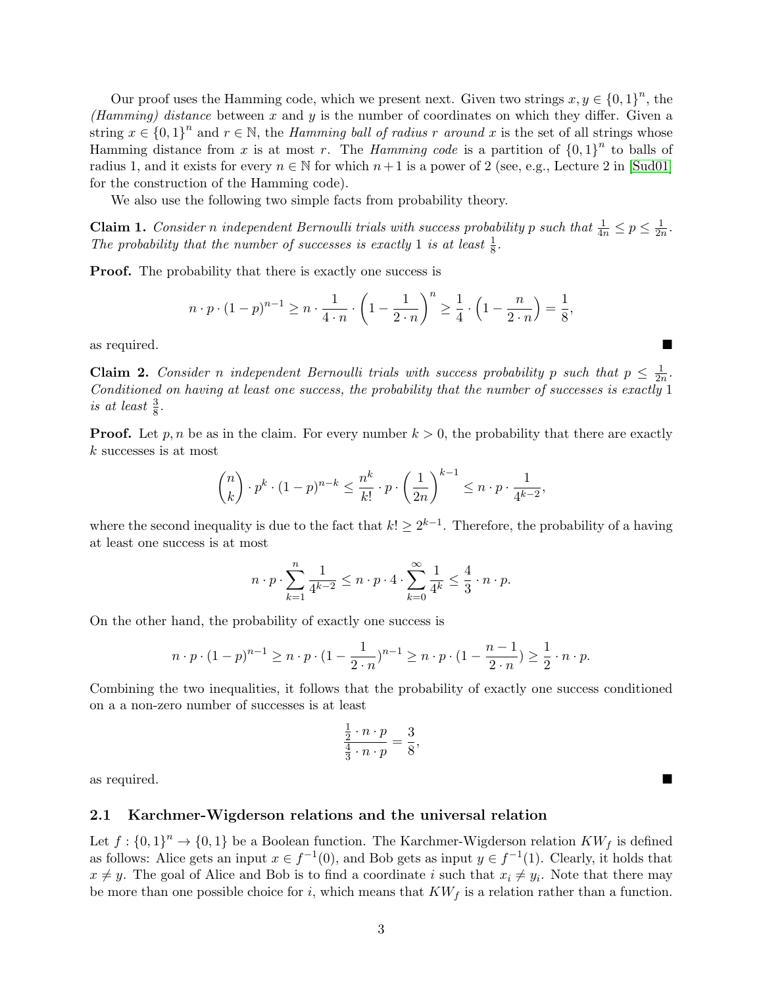Our proof uses the Hamming code, which we present next. Given two strings  $x, y \in \{0,1\}^n$ , the (Hamming) distance between x and y is the number of coordinates on which they differ. Given a string  $x \in \{0,1\}^n$  and  $r \in \mathbb{N}$ , the *Hamming ball of radius r around* x is the set of all strings whose Hamming distance from x is at most r. The *Hamming code* is a partition of  ${0,1}^n$  to balls of radius 1, and it exists for every  $n \in \mathbb{N}$  for which  $n+1$  is a power of 2 (see, e.g., Lecture 2 in [\[Sud01\]](#page--1-10) for the construction of the Hamming code).

We also use the following two simple facts from probability theory.

<span id="page-2-0"></span>**Claim 1.** Consider n independent Bernoulli trials with success probability p such that  $\frac{1}{4n} \leq p \leq \frac{1}{2n}$  $\frac{1}{2n}$ . The probability that the number of successes is exactly 1 is at least  $\frac{1}{8}$ .

**Proof.** The probability that there is exactly one success is

$$
n \cdot p \cdot (1-p)^{n-1} \ge n \cdot \frac{1}{4 \cdot n} \cdot \left(1 - \frac{1}{2 \cdot n}\right)^n \ge \frac{1}{4} \cdot \left(1 - \frac{n}{2 \cdot n}\right) = \frac{1}{8},
$$

as required.

<span id="page-2-1"></span>**Claim 2.** Consider n independent Bernoulli trials with success probability p such that  $p \leq \frac{1}{2p}$  $\frac{1}{2n}$ . Conditioned on having at least one success, the probability that the number of successes is exactly 1 is at least  $\frac{3}{8}$ .

**Proof.** Let p, n be as in the claim. For every number  $k > 0$ , the probability that there are exactly k successes is at most

$$
\binom{n}{k} \cdot p^k \cdot (1-p)^{n-k} \le \frac{n^k}{k!} \cdot p \cdot \left(\frac{1}{2n}\right)^{k-1} \le n \cdot p \cdot \frac{1}{4^{k-2}},
$$

where the second inequality is due to the fact that  $k! \geq 2^{k-1}$ . Therefore, the probability of a having at least one success is at most

$$
n \cdot p \cdot \sum_{k=1}^{n} \frac{1}{4^{k-2}} \leq n \cdot p \cdot 4 \cdot \sum_{k=0}^{\infty} \frac{1}{4^k} \leq \frac{4}{3} \cdot n \cdot p.
$$

On the other hand, the probability of exactly one success is

$$
n \cdot p \cdot (1-p)^{n-1} \ge n \cdot p \cdot (1-\frac{1}{2 \cdot n})^{n-1} \ge n \cdot p \cdot (1-\frac{n-1}{2 \cdot n}) \ge \frac{1}{2} \cdot n \cdot p.
$$

Combining the two inequalities, it follows that the probability of exactly one success conditioned on a a non-zero number of successes is at least

$$
\frac{\frac{1}{2} \cdot n \cdot p}{\frac{4}{3} \cdot n \cdot p} = \frac{3}{8},
$$

as required.

### 2.1 Karchmer-Wigderson relations and the universal relation

Let  $f: \{0,1\}^n \to \{0,1\}$  be a Boolean function. The Karchmer-Wigderson relation  $KW_f$  is defined as follows: Alice gets an input  $x \in f^{-1}(0)$ , and Bob gets as input  $y \in f^{-1}(1)$ . Clearly, it holds that  $x \neq y$ . The goal of Alice and Bob is to find a coordinate i such that  $x_i \neq y_i$ . Note that there may be more than one possible choice for i, which means that  $KW<sub>f</sub>$  is a relation rather than a function.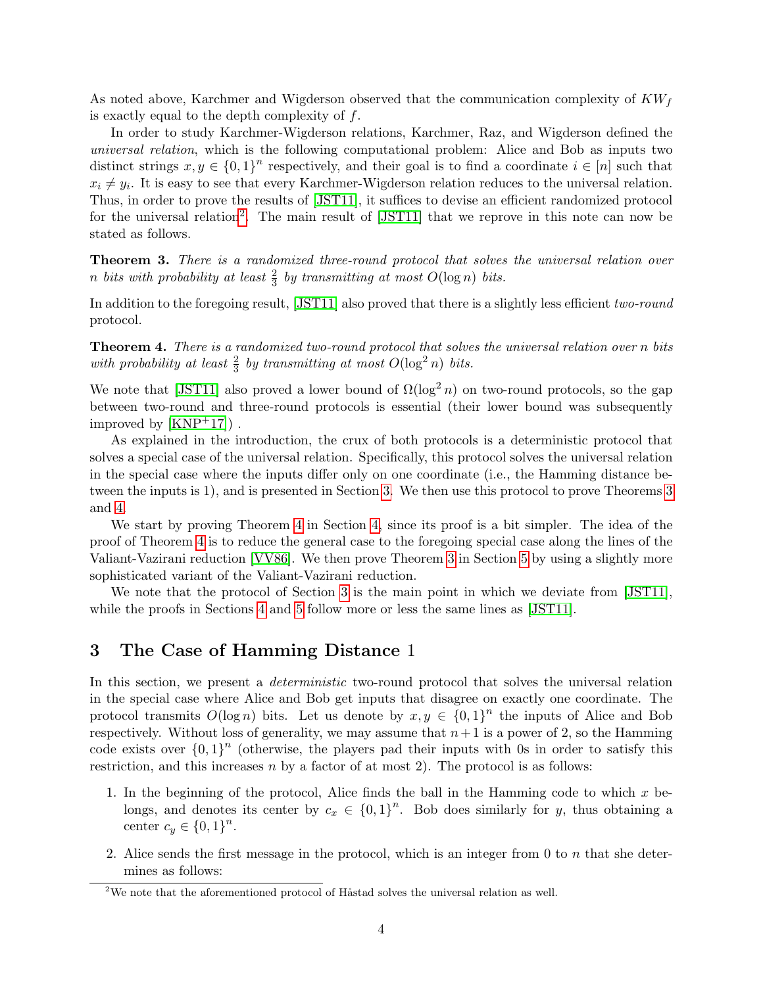As noted above, Karchmer and Wigderson observed that the communication complexity of  $KW<sub>f</sub>$ is exactly equal to the depth complexity of  $f$ .

In order to study Karchmer-Wigderson relations, Karchmer, Raz, and Wigderson defined the universal relation, which is the following computational problem: Alice and Bob as inputs two distinct strings  $x, y \in \{0,1\}^n$  respectively, and their goal is to find a coordinate  $i \in [n]$  such that  $x_i \neq y_i$ . It is easy to see that every Karchmer-Wigderson relation reduces to the universal relation. Thus, in order to prove the results of [\[JST11\]](#page-6-1), it suffices to devise an efficient randomized protocol for the universal relation<sup>[2](#page-3-1)</sup>. The main result of [\[JST11\]](#page-6-1) that we reprove in this note can now be stated as follows.

<span id="page-3-2"></span>Theorem 3. There is a randomized three-round protocol that solves the universal relation over n bits with probability at least  $\frac{2}{3}$  by transmitting at most  $O(\log n)$  bits.

In addition to the foregoing result, [\[JST11\]](#page-6-1) also proved that there is a slightly less efficient two-round protocol.

<span id="page-3-3"></span>Theorem 4. There is a randomized two-round protocol that solves the universal relation over n bits with probability at least  $\frac{2}{3}$  by transmitting at most  $O(\log^2 n)$  bits.

We note that [\[JST11\]](#page-6-1) also proved a lower bound of  $\Omega(\log^2 n)$  on two-round protocols, so the gap between two-round and three-round protocols is essential (their lower bound was subsequently improved by  $[KNP<sup>+</sup>17]$  $[KNP<sup>+</sup>17]$ .

As explained in the introduction, the crux of both protocols is a deterministic protocol that solves a special case of the universal relation. Specifically, this protocol solves the universal relation in the special case where the inputs differ only on one coordinate (i.e., the Hamming distance between the inputs is 1), and is presented in Section [3.](#page-3-0) We then use this protocol to prove Theorems [3](#page-3-2) and [4.](#page-3-3)

We start by proving Theorem [4](#page-3-3) in Section [4,](#page-4-0) since its proof is a bit simpler. The idea of the proof of Theorem [4](#page-3-3) is to reduce the general case to the foregoing special case along the lines of the Valiant-Vazirani reduction [\[VV86\]](#page--1-11). We then prove Theorem [3](#page-3-2) in Section [5](#page-5-0) by using a slightly more sophisticated variant of the Valiant-Vazirani reduction.

We note that the protocol of Section [3](#page-3-0) is the main point in which we deviate from [\[JST11\]](#page-6-1), while the proofs in Sections [4](#page-4-0) and [5](#page-5-0) follow more or less the same lines as [\[JST11\]](#page-6-1).

## <span id="page-3-0"></span>3 The Case of Hamming Distance 1

In this section, we present a *deterministic* two-round protocol that solves the universal relation in the special case where Alice and Bob get inputs that disagree on exactly one coordinate. The protocol transmits  $O(\log n)$  bits. Let us denote by  $x, y \in \{0,1\}^n$  the inputs of Alice and Bob respectively. Without loss of generality, we may assume that  $n+1$  is a power of 2, so the Hamming code exists over  ${0,1}^n$  (otherwise, the players pad their inputs with 0s in order to satisfy this restriction, and this increases  $n$  by a factor of at most 2). The protocol is as follows:

- 1. In the beginning of the protocol, Alice finds the ball in the Hamming code to which x belongs, and denotes its center by  $c_x \in \{0,1\}^n$ . Bob does similarly for y, thus obtaining a center  $c_y \in \{0,1\}^n$ .
- 2. Alice sends the first message in the protocol, which is an integer from  $0$  to  $n$  that she determines as follows:

<span id="page-3-1"></span> $2$ We note that the aforementioned protocol of Håstad solves the universal relation as well.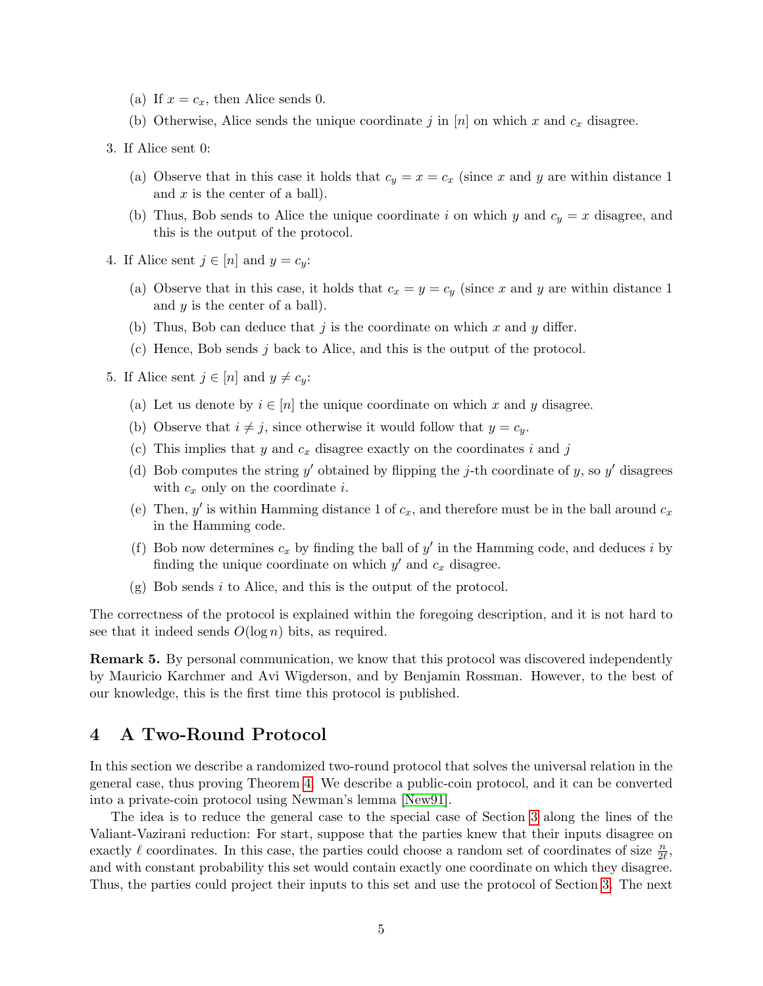- (a) If  $x = c_x$ , then Alice sends 0.
- (b) Otherwise, Alice sends the unique coordinate j in  $[n]$  on which x and  $c_x$  disagree.
- 3. If Alice sent 0:
	- (a) Observe that in this case it holds that  $c_y = x = c_x$  (since x and y are within distance 1) and  $x$  is the center of a ball).
	- (b) Thus, Bob sends to Alice the unique coordinate i on which y and  $c_y = x$  disagree, and this is the output of the protocol.
- 4. If Alice sent  $j \in [n]$  and  $y = c_y$ :
	- (a) Observe that in this case, it holds that  $c_x = y = c_y$  (since x and y are within distance 1) and  $y$  is the center of a ball).
	- (b) Thus, Bob can deduce that  $j$  is the coordinate on which  $x$  and  $y$  differ.
	- (c) Hence, Bob sends j back to Alice, and this is the output of the protocol.
- 5. If Alice sent  $j \in [n]$  and  $y \neq c_y$ :
	- (a) Let us denote by  $i \in [n]$  the unique coordinate on which x and y disagree.
	- (b) Observe that  $i \neq j$ , since otherwise it would follow that  $y = c_y$ .
	- (c) This implies that y and  $c_x$  disagree exactly on the coordinates i and j
	- (d) Bob computes the string y' obtained by flipping the j-th coordinate of y, so y' disagrees with  $c_x$  only on the coordinate *i*.
	- (e) Then, y' is within Hamming distance 1 of  $c_x$ , and therefore must be in the ball around  $c_x$ in the Hamming code.
	- (f) Bob now determines  $c_x$  by finding the ball of  $y'$  in the Hamming code, and deduces i by finding the unique coordinate on which  $y'$  and  $c_x$  disagree.
	- $(g)$  Bob sends i to Alice, and this is the output of the protocol.

The correctness of the protocol is explained within the foregoing description, and it is not hard to see that it indeed sends  $O(\log n)$  bits, as required.

Remark 5. By personal communication, we know that this protocol was discovered independently by Mauricio Karchmer and Avi Wigderson, and by Benjamin Rossman. However, to the best of our knowledge, this is the first time this protocol is published.

## <span id="page-4-0"></span>4 A Two-Round Protocol

In this section we describe a randomized two-round protocol that solves the universal relation in the general case, thus proving Theorem [4.](#page-3-3) We describe a public-coin protocol, and it can be converted into a private-coin protocol using Newman's lemma [\[New91\]](#page--1-12).

The idea is to reduce the general case to the special case of Section [3](#page-3-0) along the lines of the Valiant-Vazirani reduction: For start, suppose that the parties knew that their inputs disagree on exactly  $\ell$  coordinates. In this case, the parties could choose a random set of coordinates of size  $\frac{n}{2\ell}$ , and with constant probability this set would contain exactly one coordinate on which they disagree. Thus, the parties could project their inputs to this set and use the protocol of Section [3.](#page-3-0) The next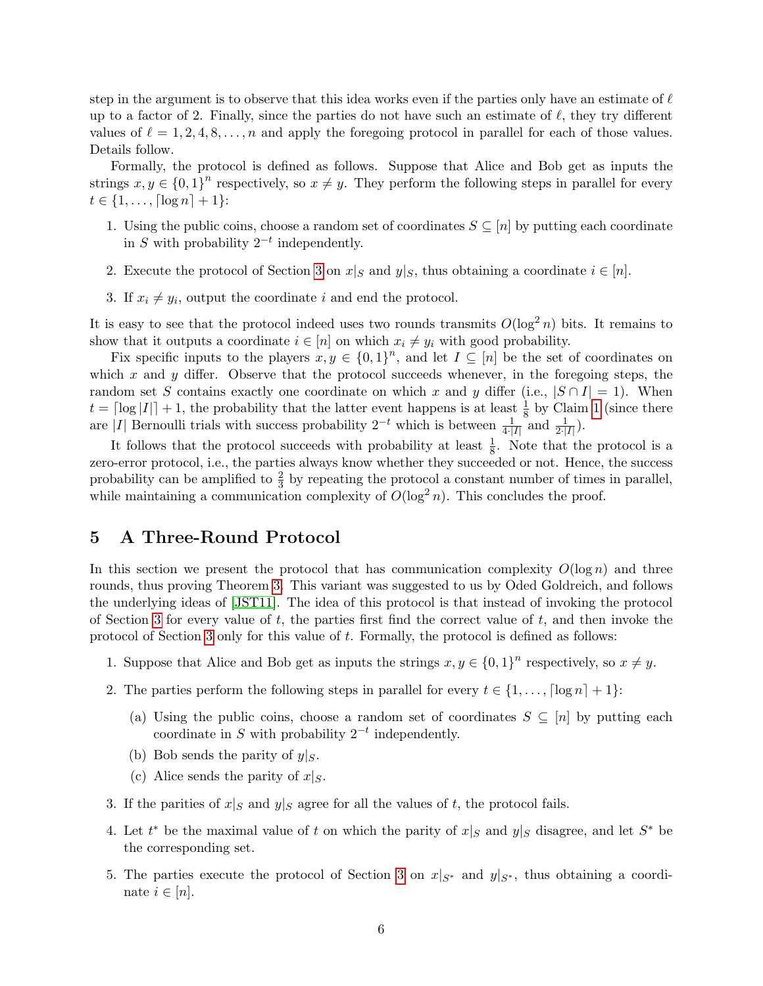step in the argument is to observe that this idea works even if the parties only have an estimate of  $\ell$ up to a factor of 2. Finally, since the parties do not have such an estimate of  $\ell$ , they try different values of  $\ell = 1, 2, 4, 8, \ldots, n$  and apply the foregoing protocol in parallel for each of those values. Details follow.

Formally, the protocol is defined as follows. Suppose that Alice and Bob get as inputs the strings  $x, y \in \{0, 1\}^n$  respectively, so  $x \neq y$ . They perform the following steps in parallel for every  $t \in \{1, \ldots, \lceil \log n \rceil + 1\}$ :

- 1. Using the public coins, choose a random set of coordinates  $S \subseteq [n]$  by putting each coordinate in S with probability  $2^{-t}$  independently.
- 2. Execute the protocol of Section [3](#page-3-0) on  $x|_S$  and  $y|_S$ , thus obtaining a coordinate  $i \in [n]$ .
- 3. If  $x_i \neq y_i$ , output the coordinate i and end the protocol.

It is easy to see that the protocol indeed uses two rounds transmits  $O(\log^2 n)$  bits. It remains to show that it outputs a coordinate  $i \in [n]$  on which  $x_i \neq y_i$  with good probability.

Fix specific inputs to the players  $x, y \in \{0,1\}^n$ , and let  $I \subseteq [n]$  be the set of coordinates on which x and y differ. Observe that the protocol succeeds whenever, in the foregoing steps, the random set S contains exactly one coordinate on which x and y differ (i.e.,  $|S \cap I| = 1$ ). When  $t = \lceil \log |I| \rceil + 1$  $t = \lceil \log |I| \rceil + 1$ , the probability that the latter event happens is at least  $\frac{1}{8}$  by Claim 1 (since there are |I| Bernoulli trials with success probability  $2^{-t}$  which is between  $\frac{1}{4\cdot |I|}$  and  $\frac{1}{2\cdot |I|}$ ).

It follows that the protocol succeeds with probability at least  $\frac{1}{8}$ . Note that the protocol is a zero-error protocol, i.e., the parties always know whether they succeeded or not. Hence, the success probability can be amplified to  $\frac{2}{3}$  by repeating the protocol a constant number of times in parallel, while maintaining a communication complexity of  $O(\log^2 n)$ . This concludes the proof.

## <span id="page-5-0"></span>5 A Three-Round Protocol

In this section we present the protocol that has communication complexity  $O(\log n)$  and three rounds, thus proving Theorem [3.](#page-3-2) This variant was suggested to us by Oded Goldreich, and follows the underlying ideas of [\[JST11\]](#page-6-1). The idea of this protocol is that instead of invoking the protocol of Section [3](#page-3-0) for every value of  $t$ , the parties first find the correct value of  $t$ , and then invoke the protocol of Section [3](#page-3-0) only for this value of t. Formally, the protocol is defined as follows:

- 1. Suppose that Alice and Bob get as inputs the strings  $x, y \in \{0, 1\}^n$  respectively, so  $x \neq y$ .
- <span id="page-5-1"></span>2. The parties perform the following steps in parallel for every  $t \in \{1, \ldots, \lceil \log n \rceil + 1\}$ :
	- (a) Using the public coins, choose a random set of coordinates  $S \subseteq [n]$  by putting each coordinate in S with probability  $2^{-t}$  independently.
	- (b) Bob sends the parity of  $y|_S$ .
	- (c) Alice sends the parity of  $x|_S$ .
- 3. If the parities of  $x|_S$  and  $y|_S$  agree for all the values of t, the protocol fails.
- 4. Let  $t^*$  be the maximal value of t on which the parity of  $x|_S$  and  $y|_S$  disagree, and let  $S^*$  be the corresponding set.
- <span id="page-5-2"></span>5. The parties execute the protocol of Section [3](#page-3-0) on  $x|_{S^*}$  and  $y|_{S^*}$ , thus obtaining a coordinate  $i \in [n]$ .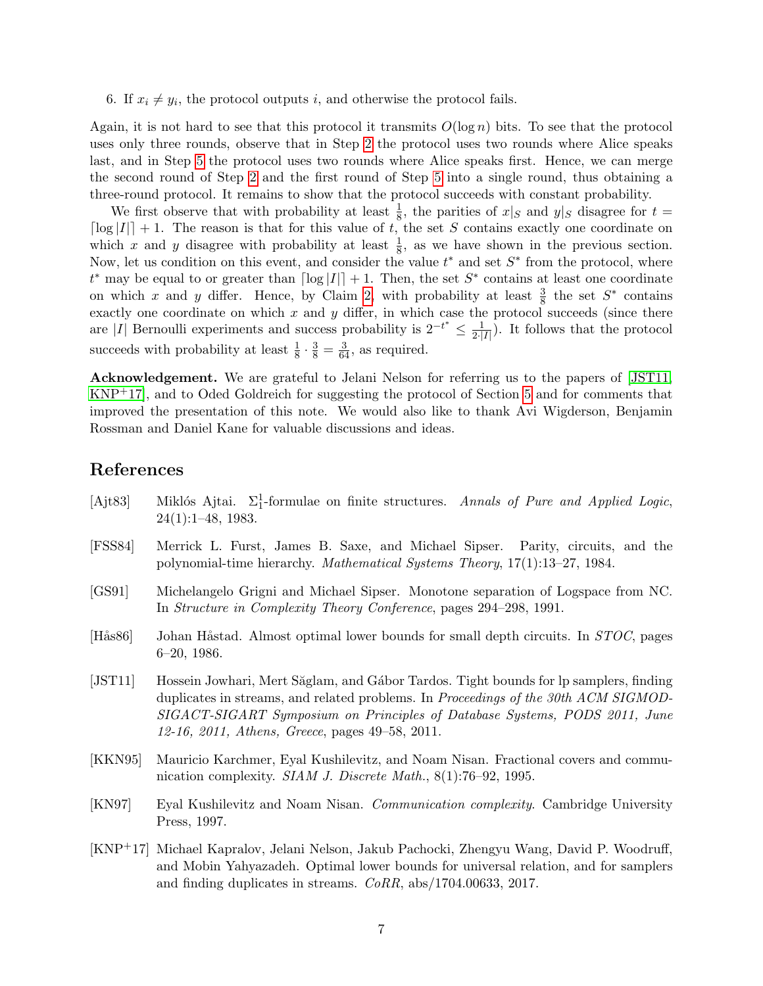6. If  $x_i \neq y_i$ , the protocol outputs i, and otherwise the protocol fails.

Again, it is not hard to see that this protocol it transmits  $O(\log n)$  bits. To see that the protocol uses only three rounds, observe that in Step [2](#page-5-1) the protocol uses two rounds where Alice speaks last, and in Step [5](#page-5-2) the protocol uses two rounds where Alice speaks first. Hence, we can merge the second round of Step [2](#page-5-1) and the first round of Step [5](#page-5-2) into a single round, thus obtaining a three-round protocol. It remains to show that the protocol succeeds with constant probability.

We first observe that with probability at least  $\frac{1}{8}$ , the parities of  $x|_S$  and  $y|_S$  disagree for  $t =$  $\lceil \log |I| \rceil + 1$ . The reason is that for this value of t, the set S contains exactly one coordinate on which x and y disagree with probability at least  $\frac{1}{8}$ , as we have shown in the previous section. Now, let us condition on this event, and consider the value  $t^*$  and set  $S^*$  from the protocol, where  $t^*$  may be equal to or greater than  $\lceil \log |I| \rceil + 1$ . Then, the set  $S^*$  contains at least one coordinate on which x and y differ. Hence, by Claim [2,](#page-2-1) with probability at least  $\frac{3}{8}$  the set  $S^*$  contains exactly one coordinate on which  $x$  and  $y$  differ, in which case the protocol succeeds (since there are |I| Bernoulli experiments and success probability is  $2^{-t^*} \leq \frac{1}{2!}$  $\frac{1}{2\cdot|I|}$ ). It follows that the protocol succeeds with probability at least  $\frac{1}{8} \cdot \frac{3}{8} = \frac{3}{64}$ , as required.

Acknowledgement. We are grateful to Jelani Nelson for referring us to the papers of [\[JST11,](#page-6-1) [KNP](#page-6-4)+17], and to Oded Goldreich for suggesting the protocol of Section [5](#page-5-0) and for comments that improved the presentation of this note. We would also like to thank Avi Wigderson, Benjamin Rossman and Daniel Kane for valuable discussions and ideas.

## References

- [Ajt83] Miklós Ajtai.  $\Sigma_1^1$ -formulae on finite structures. Annals of Pure and Applied Logic, 24(1):1–48, 1983.
- [FSS84] Merrick L. Furst, James B. Saxe, and Michael Sipser. Parity, circuits, and the polynomial-time hierarchy. Mathematical Systems Theory, 17(1):13–27, 1984.
- <span id="page-6-0"></span>[GS91] Michelangelo Grigni and Michael Sipser. Monotone separation of Logspace from NC. In Structure in Complexity Theory Conference, pages 294–298, 1991.
- [Hås86] Johan Håstad. Almost optimal lower bounds for small depth circuits. In STOC, pages 6–20, 1986.
- <span id="page-6-1"></span>[JST11] Hossein Jowhari, Mert Săglam, and Gábor Tardos. Tight bounds for lp samplers, finding duplicates in streams, and related problems. In Proceedings of the 30th ACM SIGMOD-SIGACT-SIGART Symposium on Principles of Database Systems, PODS 2011, June 12-16, 2011, Athens, Greece, pages 49–58, 2011.
- <span id="page-6-3"></span>[KKN95] Mauricio Karchmer, Eyal Kushilevitz, and Noam Nisan. Fractional covers and communication complexity. *SIAM J. Discrete Math.*, 8(1):76–92, 1995.
- <span id="page-6-2"></span>[KN97] Eyal Kushilevitz and Noam Nisan. Communication complexity. Cambridge University Press, 1997.
- <span id="page-6-4"></span>[KNP+17] Michael Kapralov, Jelani Nelson, Jakub Pachocki, Zhengyu Wang, David P. Woodruff, and Mobin Yahyazadeh. Optimal lower bounds for universal relation, and for samplers and finding duplicates in streams. CoRR, abs/1704.00633, 2017.